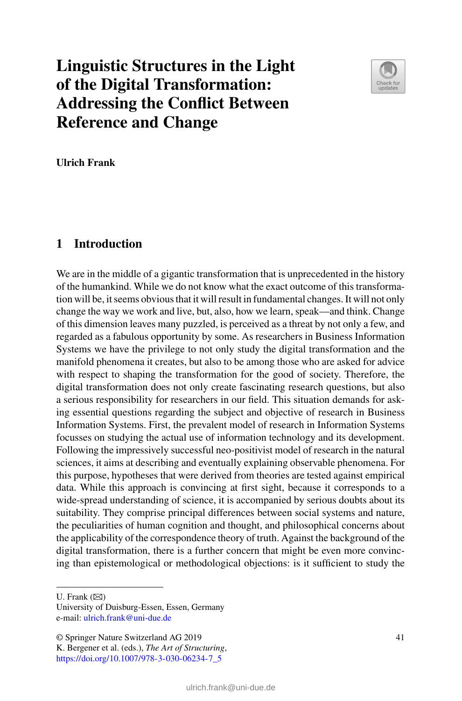# **Linguistic Structures in the Light of the Digital Transformation: Addressing the Conflict Between Reference and Change**



**Ulrich Frank**

# **1 Introduction**

We are in the middle of a gigantic transformation that is unprecedented in the history of the humankind. While we do not know what the exact outcome of this transformation will be, it seems obvious that it will result in fundamental changes. It will not only change the way we work and live, but, also, how we learn, speak—and think. Change of this dimension leaves many puzzled, is perceived as a threat by not only a few, and regarded as a fabulous opportunity by some. As researchers in Business Information Systems we have the privilege to not only study the digital transformation and the manifold phenomena it creates, but also to be among those who are asked for advice with respect to shaping the transformation for the good of society. Therefore, the digital transformation does not only create fascinating research questions, but also a serious responsibility for researchers in our field. This situation demands for asking essential questions regarding the subject and objective of research in Business Information Systems. First, the prevalent model of research in Information Systems focusses on studying the actual use of information technology and its development. Following the impressively successful neo-positivist model of research in the natural sciences, it aims at describing and eventually explaining observable phenomena. For this purpose, hypotheses that were derived from theories are tested against empirical data. While this approach is convincing at first sight, because it corresponds to a wide-spread understanding of science, it is accompanied by serious doubts about its suitability. They comprise principal differences between social systems and nature, the peculiarities of human cognition and thought, and philosophical concerns about the applicability of the correspondence theory of truth. Against the background of the digital transformation, there is a further concern that might be even more convincing than epistemological or methodological objections: is it sufficient to study the

K. Bergener et al. (eds.), *The Art of Structuring*, [https://doi.org/10.1007/978-3-030-06234-7\\_5](https://doi.org/10.1007/978-3-030-06234-7_5)

U. Frank  $(\boxtimes)$ 

University of Duisburg-Essen, Essen, Germany e-mail: [ulrich.frank@uni-due.de](mailto:ulrich.frank@uni-due.de)

<sup>©</sup> Springer Nature Switzerland AG 2019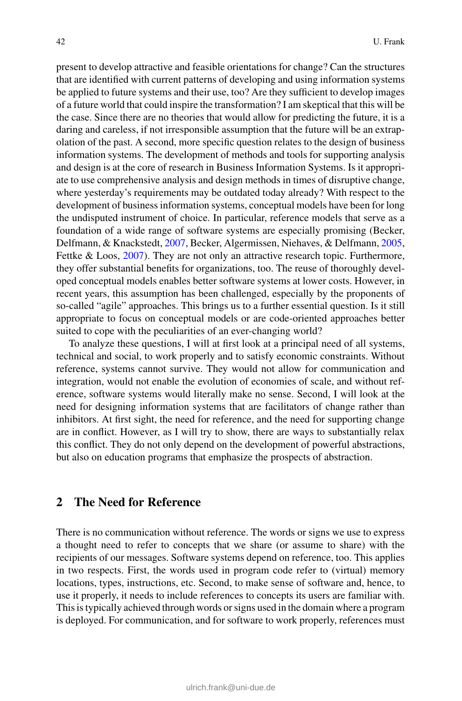present to develop attractive and feasible orientations for change? Can the structures that are identified with current patterns of developing and using information systems be applied to future systems and their use, too? Are they sufficient to develop images of a future world that could inspire the transformation? I am skeptical that this will be the case. Since there are no theories that would allow for predicting the future, it is a daring and careless, if not irresponsible assumption that the future will be an extrapolation of the past. A second, more specific question relates to the design of business information systems. The development of methods and tools for supporting analysis and design is at the core of research in Business Information Systems. Is it appropriate to use comprehensive analysis and design methods in times of disruptive change, where yesterday's requirements may be outdated today already? With respect to the development of business information systems, conceptual models have been for long the undisputed instrument of choice. In particular, reference models that serve as a foundation of a wide range of software systems are especially promising (Becker, Delfmann, & Knackstedt, 2007, Becker, Algermissen, Niehaves, & Delfmann, 2005, Fettke & Loos, 2007). They are not only an attractive research topic. Furthermore, they offer substantial benefits for organizations, too. The reuse of thoroughly developed conceptual models enables better software systems at lower costs. However, in recent years, this assumption has been challenged, especially by the proponents of so-called "agile" approaches. This brings us to a further essential question. Is it still appropriate to focus on conceptual models or are code-oriented approaches better suited to cope with the peculiarities of an ever-changing world?

To analyze these questions, I will at first look at a principal need of all systems, technical and social, to work properly and to satisfy economic constraints. Without reference, systems cannot survive. They would not allow for communication and integration, would not enable the evolution of economies of scale, and without reference, software systems would literally make no sense. Second, I will look at the need for designing information systems that are facilitators of change rather than inhibitors. At first sight, the need for reference, and the need for supporting change are in conflict. However, as I will try to show, there are ways to substantially relax this conflict. They do not only depend on the development of powerful abstractions, but also on education programs that emphasize the prospects of abstraction.

## **2 The Need for Reference**

There is no communication without reference. The words or signs we use to express a thought need to refer to concepts that we share (or assume to share) with the recipients of our messages. Software systems depend on reference, too. This applies in two respects. First, the words used in program code refer to (virtual) memory locations, types, instructions, etc. Second, to make sense of software and, hence, to use it properly, it needs to include references to concepts its users are familiar with. This is typically achieved through words or signs used in the domain where a program is deployed. For communication, and for software to work properly, references must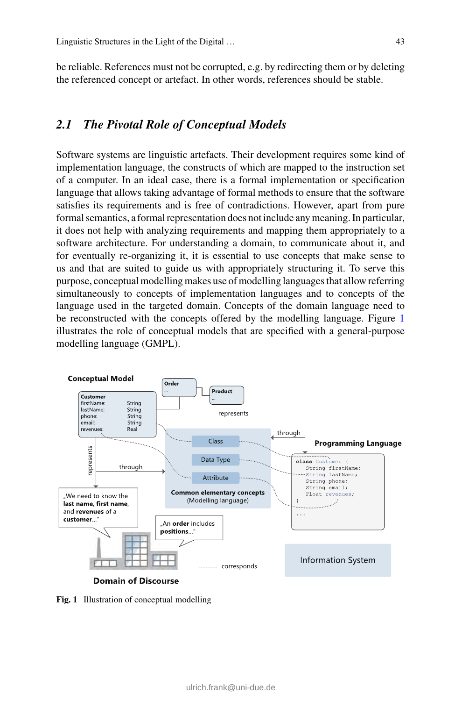be reliable. References must not be corrupted, e.g. by redirecting them or by deleting the referenced concept or artefact. In other words, references should be stable.

## *2.1 The Pivotal Role of Conceptual Models*

Software systems are linguistic artefacts. Their development requires some kind of implementation language, the constructs of which are mapped to the instruction set of a computer. In an ideal case, there is a formal implementation or specification language that allows taking advantage of formal methods to ensure that the software satisfies its requirements and is free of contradictions. However, apart from pure formal semantics, a formal representation does not include any meaning. In particular, it does not help with analyzing requirements and mapping them appropriately to a software architecture. For understanding a domain, to communicate about it, and for eventually re-organizing it, it is essential to use concepts that make sense to us and that are suited to guide us with appropriately structuring it. To serve this purpose, conceptual modelling makes use of modelling languages that allow referring simultaneously to concepts of implementation languages and to concepts of the language used in the targeted domain. Concepts of the domain language need to be reconstructed with the concepts offered by the modelling language. Figure 1 illustrates the role of conceptual models that are specified with a general-purpose modelling language (GMPL).



**Fig. 1** Illustration of conceptual modelling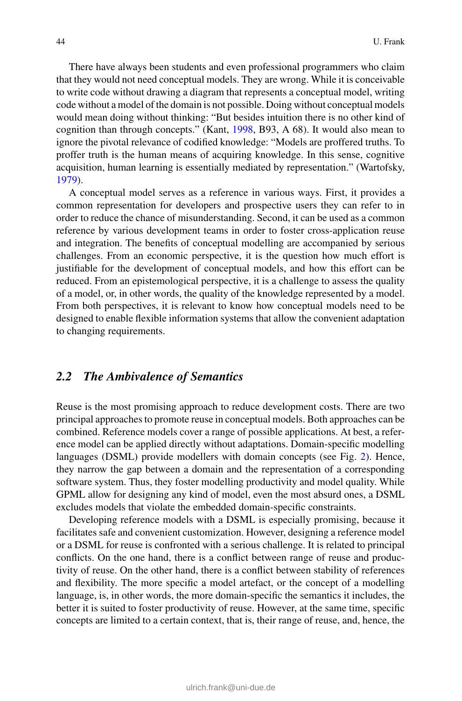There have always been students and even professional programmers who claim that they would not need conceptual models. They are wrong. While it is conceivable to write code without drawing a diagram that represents a conceptual model, writing code without a model of the domain is not possible. Doing without conceptual models would mean doing without thinking: "But besides intuition there is no other kind of cognition than through concepts." (Kant, 1998, B93, A 68). It would also mean to ignore the pivotal relevance of codified knowledge: "Models are proffered truths. To proffer truth is the human means of acquiring knowledge. In this sense, cognitive acquisition, human learning is essentially mediated by representation." (Wartofsky, 1979).

A conceptual model serves as a reference in various ways. First, it provides a common representation for developers and prospective users they can refer to in order to reduce the chance of misunderstanding. Second, it can be used as a common reference by various development teams in order to foster cross-application reuse and integration. The benefits of conceptual modelling are accompanied by serious challenges. From an economic perspective, it is the question how much effort is justifiable for the development of conceptual models, and how this effort can be reduced. From an epistemological perspective, it is a challenge to assess the quality of a model, or, in other words, the quality of the knowledge represented by a model. From both perspectives, it is relevant to know how conceptual models need to be designed to enable flexible information systems that allow the convenient adaptation to changing requirements.

## *2.2 The Ambivalence of Semantics*

Reuse is the most promising approach to reduce development costs. There are two principal approaches to promote reuse in conceptual models. Both approaches can be combined. Reference models cover a range of possible applications. At best, a reference model can be applied directly without adaptations. Domain-specific modelling languages (DSML) provide modellers with domain concepts (see Fig. 2). Hence, they narrow the gap between a domain and the representation of a corresponding software system. Thus, they foster modelling productivity and model quality. While GPML allow for designing any kind of model, even the most absurd ones, a DSML excludes models that violate the embedded domain-specific constraints.

Developing reference models with a DSML is especially promising, because it facilitates safe and convenient customization. However, designing a reference model or a DSML for reuse is confronted with a serious challenge. It is related to principal conflicts. On the one hand, there is a conflict between range of reuse and productivity of reuse. On the other hand, there is a conflict between stability of references and flexibility. The more specific a model artefact, or the concept of a modelling language, is, in other words, the more domain-specific the semantics it includes, the better it is suited to foster productivity of reuse. However, at the same time, specific concepts are limited to a certain context, that is, their range of reuse, and, hence, the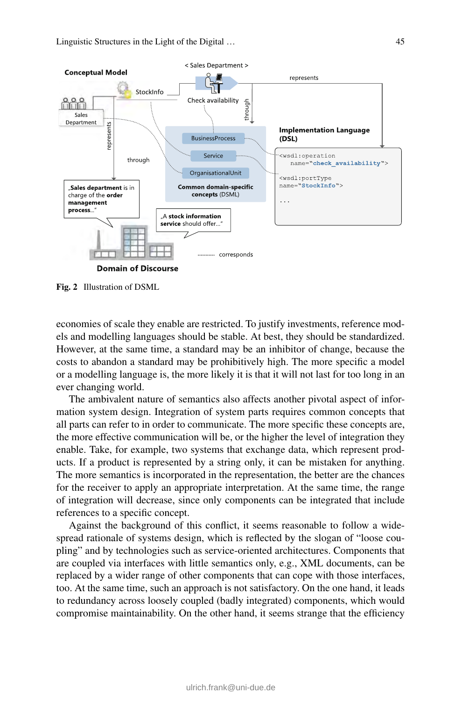

**Fig. 2** Illustration of DSML

economies of scale they enable are restricted. To justify investments, reference models and modelling languages should be stable. At best, they should be standardized. However, at the same time, a standard may be an inhibitor of change, because the costs to abandon a standard may be prohibitively high. The more specific a model or a modelling language is, the more likely it is that it will not last for too long in an ever changing world.

The ambivalent nature of semantics also affects another pivotal aspect of information system design. Integration of system parts requires common concepts that all parts can refer to in order to communicate. The more specific these concepts are, the more effective communication will be, or the higher the level of integration they enable. Take, for example, two systems that exchange data, which represent products. If a product is represented by a string only, it can be mistaken for anything. The more semantics is incorporated in the representation, the better are the chances for the receiver to apply an appropriate interpretation. At the same time, the range of integration will decrease, since only components can be integrated that include references to a specific concept.

Against the background of this conflict, it seems reasonable to follow a widespread rationale of systems design, which is reflected by the slogan of "loose coupling" and by technologies such as service-oriented architectures. Components that are coupled via interfaces with little semantics only, e.g., XML documents, can be replaced by a wider range of other components that can cope with those interfaces, too. At the same time, such an approach is not satisfactory. On the one hand, it leads to redundancy across loosely coupled (badly integrated) components, which would compromise maintainability. On the other hand, it seems strange that the efficiency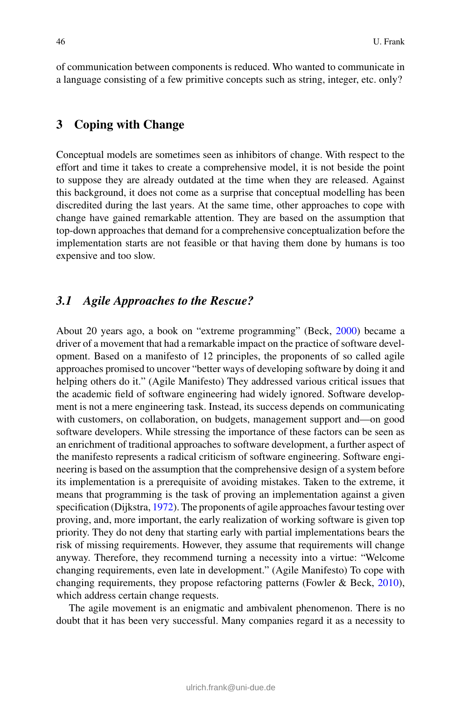of communication between components is reduced. Who wanted to communicate in a language consisting of a few primitive concepts such as string, integer, etc. only?

#### **3 Coping with Change**

Conceptual models are sometimes seen as inhibitors of change. With respect to the effort and time it takes to create a comprehensive model, it is not beside the point to suppose they are already outdated at the time when they are released. Against this background, it does not come as a surprise that conceptual modelling has been discredited during the last years. At the same time, other approaches to cope with change have gained remarkable attention. They are based on the assumption that top-down approaches that demand for a comprehensive conceptualization before the implementation starts are not feasible or that having them done by humans is too expensive and too slow.

#### *3.1 Agile Approaches to the Rescue?*

About 20 years ago, a book on "extreme programming" (Beck, 2000) became a driver of a movement that had a remarkable impact on the practice of software development. Based on a manifesto of 12 principles, the proponents of so called agile approaches promised to uncover "better ways of developing software by doing it and helping others do it." (Agile Manifesto) They addressed various critical issues that the academic field of software engineering had widely ignored. Software development is not a mere engineering task. Instead, its success depends on communicating with customers, on collaboration, on budgets, management support and—on good software developers. While stressing the importance of these factors can be seen as an enrichment of traditional approaches to software development, a further aspect of the manifesto represents a radical criticism of software engineering. Software engineering is based on the assumption that the comprehensive design of a system before its implementation is a prerequisite of avoiding mistakes. Taken to the extreme, it means that programming is the task of proving an implementation against a given specification (Dijkstra, 1972). The proponents of agile approaches favour testing over proving, and, more important, the early realization of working software is given top priority. They do not deny that starting early with partial implementations bears the risk of missing requirements. However, they assume that requirements will change anyway. Therefore, they recommend turning a necessity into a virtue: "Welcome changing requirements, even late in development." (Agile Manifesto) To cope with changing requirements, they propose refactoring patterns (Fowler & Beck, 2010), which address certain change requests.

The agile movement is an enigmatic and ambivalent phenomenon. There is no doubt that it has been very successful. Many companies regard it as a necessity to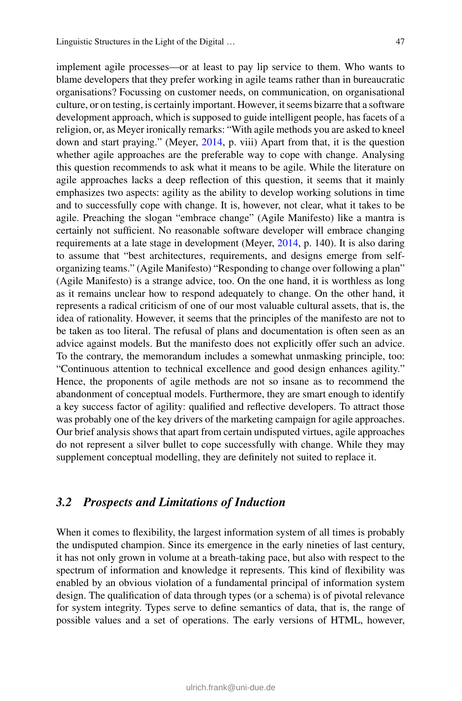implement agile processes—or at least to pay lip service to them. Who wants to blame developers that they prefer working in agile teams rather than in bureaucratic organisations? Focussing on customer needs, on communication, on organisational culture, or on testing, is certainly important. However, it seems bizarre that a software development approach, which is supposed to guide intelligent people, has facets of a religion, or, as Meyer ironically remarks: "With agile methods you are asked to kneel down and start praying." (Meyer, 2014, p. viii) Apart from that, it is the question whether agile approaches are the preferable way to cope with change. Analysing this question recommends to ask what it means to be agile. While the literature on agile approaches lacks a deep reflection of this question, it seems that it mainly emphasizes two aspects: agility as the ability to develop working solutions in time and to successfully cope with change. It is, however, not clear, what it takes to be agile. Preaching the slogan "embrace change" (Agile Manifesto) like a mantra is certainly not sufficient. No reasonable software developer will embrace changing requirements at a late stage in development (Meyer, 2014, p. 140). It is also daring to assume that "best architectures, requirements, and designs emerge from selforganizing teams." (Agile Manifesto) "Responding to change over following a plan" (Agile Manifesto) is a strange advice, too. On the one hand, it is worthless as long as it remains unclear how to respond adequately to change. On the other hand, it represents a radical criticism of one of our most valuable cultural assets, that is, the idea of rationality. However, it seems that the principles of the manifesto are not to be taken as too literal. The refusal of plans and documentation is often seen as an advice against models. But the manifesto does not explicitly offer such an advice. To the contrary, the memorandum includes a somewhat unmasking principle, too: "Continuous attention to technical excellence and good design enhances agility." Hence, the proponents of agile methods are not so insane as to recommend the abandonment of conceptual models. Furthermore, they are smart enough to identify a key success factor of agility: qualified and reflective developers. To attract those was probably one of the key drivers of the marketing campaign for agile approaches. Our brief analysis shows that apart from certain undisputed virtues, agile approaches do not represent a silver bullet to cope successfully with change. While they may supplement conceptual modelling, they are definitely not suited to replace it.

## *3.2 Prospects and Limitations of Induction*

When it comes to flexibility, the largest information system of all times is probably the undisputed champion. Since its emergence in the early nineties of last century, it has not only grown in volume at a breath-taking pace, but also with respect to the spectrum of information and knowledge it represents. This kind of flexibility was enabled by an obvious violation of a fundamental principal of information system design. The qualification of data through types (or a schema) is of pivotal relevance for system integrity. Types serve to define semantics of data, that is, the range of possible values and a set of operations. The early versions of HTML, however,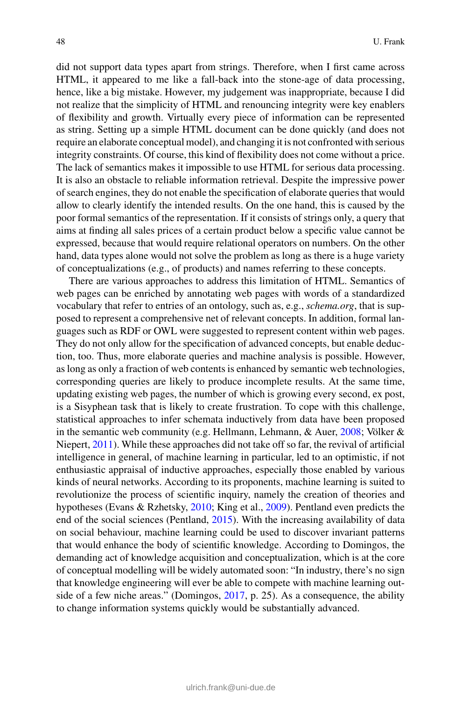did not support data types apart from strings. Therefore, when I first came across HTML, it appeared to me like a fall-back into the stone-age of data processing, hence, like a big mistake. However, my judgement was inappropriate, because I did not realize that the simplicity of HTML and renouncing integrity were key enablers of flexibility and growth. Virtually every piece of information can be represented as string. Setting up a simple HTML document can be done quickly (and does not require an elaborate conceptual model), and changing it is not confronted with serious integrity constraints. Of course, this kind of flexibility does not come without a price. The lack of semantics makes it impossible to use HTML for serious data processing. It is also an obstacle to reliable information retrieval. Despite the impressive power of search engines, they do not enable the specification of elaborate queries that would allow to clearly identify the intended results. On the one hand, this is caused by the poor formal semantics of the representation. If it consists of strings only, a query that aims at finding all sales prices of a certain product below a specific value cannot be expressed, because that would require relational operators on numbers. On the other hand, data types alone would not solve the problem as long as there is a huge variety of conceptualizations (e.g., of products) and names referring to these concepts.

There are various approaches to address this limitation of HTML. Semantics of web pages can be enriched by annotating web pages with words of a standardized vocabulary that refer to entries of an ontology, such as, e.g., *schema.org*, that is supposed to represent a comprehensive net of relevant concepts. In addition, formal languages such as RDF or OWL were suggested to represent content within web pages. They do not only allow for the specification of advanced concepts, but enable deduction, too. Thus, more elaborate queries and machine analysis is possible. However, as long as only a fraction of web contents is enhanced by semantic web technologies, corresponding queries are likely to produce incomplete results. At the same time, updating existing web pages, the number of which is growing every second, ex post, is a Sisyphean task that is likely to create frustration. To cope with this challenge, statistical approaches to infer schemata inductively from data have been proposed in the semantic web community (e.g. Hellmann, Lehmann, & Auer, 2008; Völker & Niepert, 2011). While these approaches did not take off so far, the revival of artificial intelligence in general, of machine learning in particular, led to an optimistic, if not enthusiastic appraisal of inductive approaches, especially those enabled by various kinds of neural networks. According to its proponents, machine learning is suited to revolutionize the process of scientific inquiry, namely the creation of theories and hypotheses (Evans & Rzhetsky, 2010; King et al., 2009). Pentland even predicts the end of the social sciences (Pentland, 2015). With the increasing availability of data on social behaviour, machine learning could be used to discover invariant patterns that would enhance the body of scientific knowledge. According to Domingos, the demanding act of knowledge acquisition and conceptualization, which is at the core of conceptual modelling will be widely automated soon: "In industry, there's no sign that knowledge engineering will ever be able to compete with machine learning outside of a few niche areas." (Domingos, 2017, p. 25). As a consequence, the ability to change information systems quickly would be substantially advanced.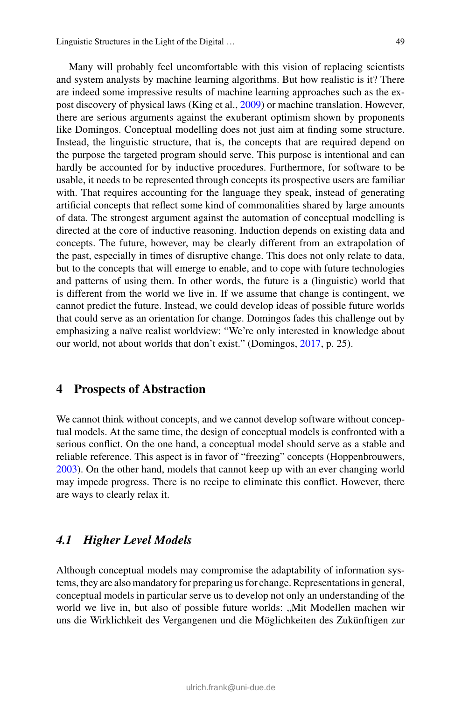Many will probably feel uncomfortable with this vision of replacing scientists and system analysts by machine learning algorithms. But how realistic is it? There are indeed some impressive results of machine learning approaches such as the expost discovery of physical laws (King et al., 2009) or machine translation. However, there are serious arguments against the exuberant optimism shown by proponents like Domingos. Conceptual modelling does not just aim at finding some structure. Instead, the linguistic structure, that is, the concepts that are required depend on the purpose the targeted program should serve. This purpose is intentional and can hardly be accounted for by inductive procedures. Furthermore, for software to be usable, it needs to be represented through concepts its prospective users are familiar with. That requires accounting for the language they speak, instead of generating artificial concepts that reflect some kind of commonalities shared by large amounts of data. The strongest argument against the automation of conceptual modelling is directed at the core of inductive reasoning. Induction depends on existing data and concepts. The future, however, may be clearly different from an extrapolation of the past, especially in times of disruptive change. This does not only relate to data, but to the concepts that will emerge to enable, and to cope with future technologies and patterns of using them. In other words, the future is a (linguistic) world that is different from the world we live in. If we assume that change is contingent, we cannot predict the future. Instead, we could develop ideas of possible future worlds that could serve as an orientation for change. Domingos fades this challenge out by emphasizing a naïve realist worldview: "We're only interested in knowledge about our world, not about worlds that don't exist." (Domingos, 2017, p. 25).

## **4 Prospects of Abstraction**

We cannot think without concepts, and we cannot develop software without conceptual models. At the same time, the design of conceptual models is confronted with a serious conflict. On the one hand, a conceptual model should serve as a stable and reliable reference. This aspect is in favor of "freezing" concepts (Hoppenbrouwers, 2003). On the other hand, models that cannot keep up with an ever changing world may impede progress. There is no recipe to eliminate this conflict. However, there are ways to clearly relax it.

#### *4.1 Higher Level Models*

Although conceptual models may compromise the adaptability of information systems, they are also mandatory for preparing us for change. Representations in general, conceptual models in particular serve us to develop not only an understanding of the world we live in, but also of possible future worlds: "Mit Modellen machen wir uns die Wirklichkeit des Vergangenen und die Möglichkeiten des Zukünftigen zur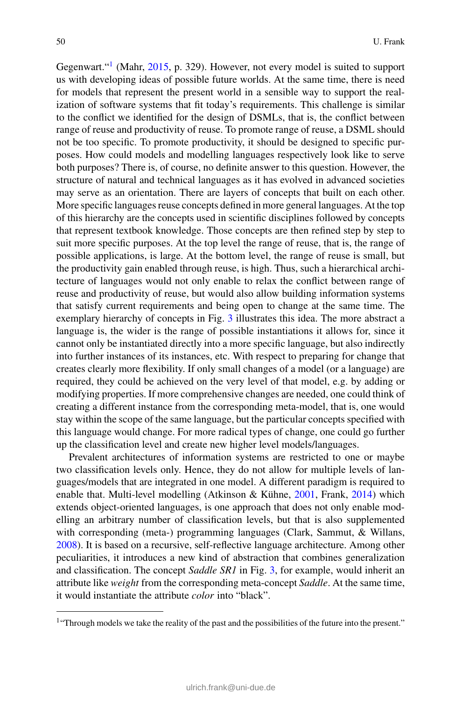Gegenwart."<sup>1</sup> (Mahr, 2015, p. 329). However, not every model is suited to support us with developing ideas of possible future worlds. At the same time, there is need for models that represent the present world in a sensible way to support the realization of software systems that fit today's requirements. This challenge is similar to the conflict we identified for the design of DSMLs, that is, the conflict between range of reuse and productivity of reuse. To promote range of reuse, a DSML should not be too specific. To promote productivity, it should be designed to specific purposes. How could models and modelling languages respectively look like to serve both purposes? There is, of course, no definite answer to this question. However, the structure of natural and technical languages as it has evolved in advanced societies may serve as an orientation. There are layers of concepts that built on each other. More specific languages reuse concepts defined in more general languages. At the top of this hierarchy are the concepts used in scientific disciplines followed by concepts that represent textbook knowledge. Those concepts are then refined step by step to suit more specific purposes. At the top level the range of reuse, that is, the range of possible applications, is large. At the bottom level, the range of reuse is small, but the productivity gain enabled through reuse, is high. Thus, such a hierarchical architecture of languages would not only enable to relax the conflict between range of reuse and productivity of reuse, but would also allow building information systems that satisfy current requirements and being open to change at the same time. The exemplary hierarchy of concepts in Fig. 3 illustrates this idea. The more abstract a language is, the wider is the range of possible instantiations it allows for, since it cannot only be instantiated directly into a more specific language, but also indirectly into further instances of its instances, etc. With respect to preparing for change that creates clearly more flexibility. If only small changes of a model (or a language) are required, they could be achieved on the very level of that model, e.g. by adding or modifying properties. If more comprehensive changes are needed, one could think of creating a different instance from the corresponding meta-model, that is, one would stay within the scope of the same language, but the particular concepts specified with this language would change. For more radical types of change, one could go further up the classification level and create new higher level models/languages.

Prevalent architectures of information systems are restricted to one or maybe two classification levels only. Hence, they do not allow for multiple levels of languages/models that are integrated in one model. A different paradigm is required to enable that. Multi-level modelling (Atkinson & Kühne, 2001, Frank, 2014) which extends object-oriented languages, is one approach that does not only enable modelling an arbitrary number of classification levels, but that is also supplemented with corresponding (meta-) programming languages (Clark, Sammut, & Willans, 2008). It is based on a recursive, self-reflective language architecture. Among other peculiarities, it introduces a new kind of abstraction that combines generalization and classification. The concept *Saddle SR1* in Fig. 3, for example, would inherit an attribute like *weight* from the corresponding meta-concept *Saddle*. At the same time, it would instantiate the attribute *color* into "black".

<sup>&</sup>lt;sup>1</sup>"Through models we take the reality of the past and the possibilities of the future into the present."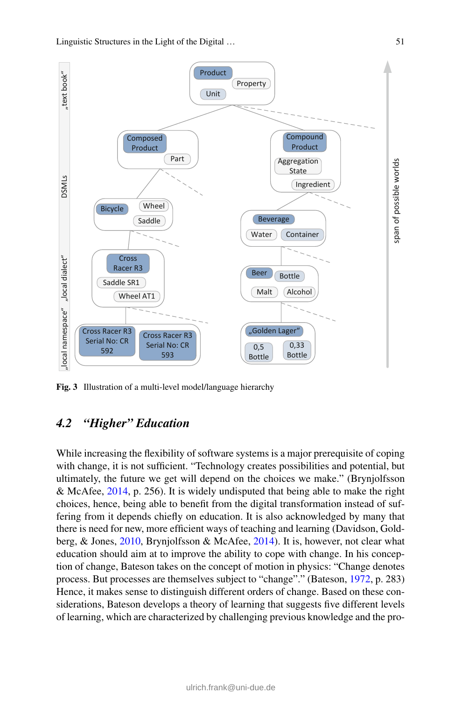

**Fig. 3** Illustration of a multi-level model/language hierarchy

# *4.2 "Higher" Education*

While increasing the flexibility of software systems is a major prerequisite of coping with change, it is not sufficient. "Technology creates possibilities and potential, but ultimately, the future we get will depend on the choices we make." (Brynjolfsson & McAfee, 2014, p. 256). It is widely undisputed that being able to make the right choices, hence, being able to benefit from the digital transformation instead of suffering from it depends chiefly on education. It is also acknowledged by many that there is need for new, more efficient ways of teaching and learning (Davidson, Goldberg, & Jones, 2010, Brynjolfsson & McAfee, 2014). It is, however, not clear what education should aim at to improve the ability to cope with change. In his conception of change, Bateson takes on the concept of motion in physics: "Change denotes process. But processes are themselves subject to "change"." (Bateson, 1972, p. 283) Hence, it makes sense to distinguish different orders of change. Based on these considerations, Bateson develops a theory of learning that suggests five different levels of learning, which are characterized by challenging previous knowledge and the pro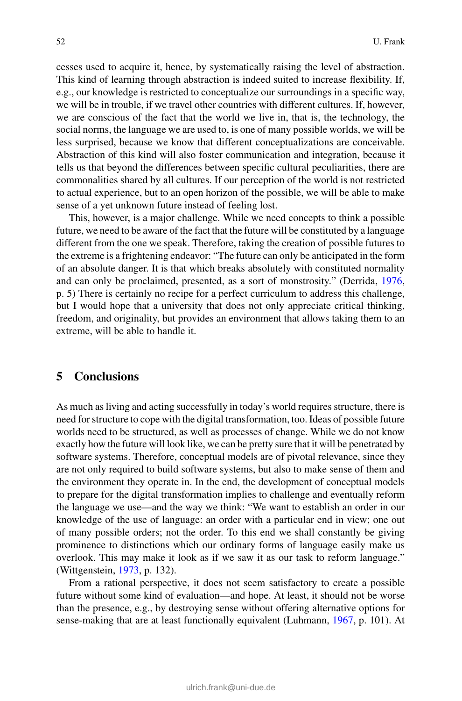cesses used to acquire it, hence, by systematically raising the level of abstraction. This kind of learning through abstraction is indeed suited to increase flexibility. If, e.g., our knowledge is restricted to conceptualize our surroundings in a specific way, we will be in trouble, if we travel other countries with different cultures. If, however, we are conscious of the fact that the world we live in, that is, the technology, the social norms, the language we are used to, is one of many possible worlds, we will be less surprised, because we know that different conceptualizations are conceivable. Abstraction of this kind will also foster communication and integration, because it tells us that beyond the differences between specific cultural peculiarities, there are commonalities shared by all cultures. If our perception of the world is not restricted to actual experience, but to an open horizon of the possible, we will be able to make sense of a yet unknown future instead of feeling lost.

This, however, is a major challenge. While we need concepts to think a possible future, we need to be aware of the fact that the future will be constituted by a language different from the one we speak. Therefore, taking the creation of possible futures to the extreme is a frightening endeavor: "The future can only be anticipated in the form of an absolute danger. It is that which breaks absolutely with constituted normality and can only be proclaimed, presented, as a sort of monstrosity." (Derrida, 1976, p. 5) There is certainly no recipe for a perfect curriculum to address this challenge, but I would hope that a university that does not only appreciate critical thinking, freedom, and originality, but provides an environment that allows taking them to an extreme, will be able to handle it.

# **5 Conclusions**

As much as living and acting successfully in today's world requires structure, there is need for structure to cope with the digital transformation, too. Ideas of possible future worlds need to be structured, as well as processes of change. While we do not know exactly how the future will look like, we can be pretty sure that it will be penetrated by software systems. Therefore, conceptual models are of pivotal relevance, since they are not only required to build software systems, but also to make sense of them and the environment they operate in. In the end, the development of conceptual models to prepare for the digital transformation implies to challenge and eventually reform the language we use—and the way we think: "We want to establish an order in our knowledge of the use of language: an order with a particular end in view; one out of many possible orders; not the order. To this end we shall constantly be giving prominence to distinctions which our ordinary forms of language easily make us overlook. This may make it look as if we saw it as our task to reform language." (Wittgenstein, 1973, p. 132).

From a rational perspective, it does not seem satisfactory to create a possible future without some kind of evaluation—and hope. At least, it should not be worse than the presence, e.g., by destroying sense without offering alternative options for sense-making that are at least functionally equivalent (Luhmann, 1967, p. 101). At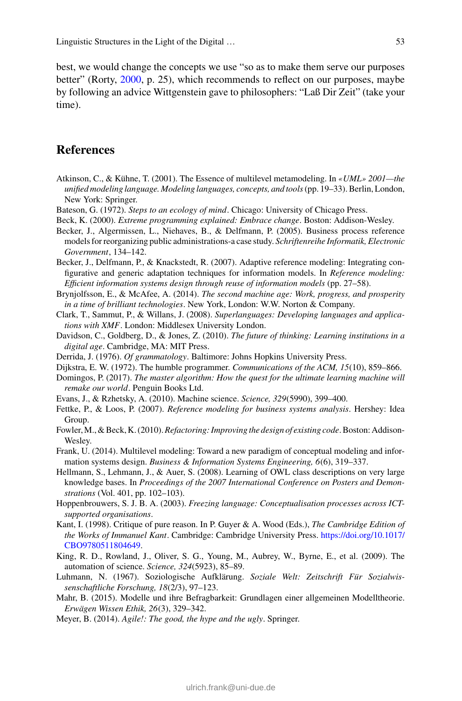best, we would change the concepts we use "so as to make them serve our purposes better" (Rorty, 2000, p. 25), which recommends to reflect on our purposes, maybe by following an advice Wittgenstein gave to philosophers: "Laß Dir Zeit" (take your time).

#### **References**

- Atkinson, C., & Kühne, T. (2001). The Essence of multilevel metamodeling. In *«UML» 2001—the unified modeling language. Modeling languages, concepts, and tools*(pp. 19–33). Berlin, London, New York: Springer.
- Bateson, G. (1972). *Steps to an ecology of mind*. Chicago: University of Chicago Press.
- Beck, K. (2000). *Extreme programming explained: Embrace change*. Boston: Addison-Wesley.
- Becker, J., Algermissen, L., Niehaves, B., & Delfmann, P. (2005). Business process reference models for reorganizing public administrations-a case study. *Schriftenreihe Informatik, Electronic Government*, 134–142.
- Becker, J., Delfmann, P., & Knackstedt, R. (2007). Adaptive reference modeling: Integrating configurative and generic adaptation techniques for information models. In *Reference modeling: Efficient information systems design through reuse of information models* (pp. 27–58).
- Brynjolfsson, E., & McAfee, A. (2014). *The second machine age: Work, progress, and prosperity in a time of brilliant technologies*. New York, London: W.W. Norton & Company.
- Clark, T., Sammut, P., & Willans, J. (2008). *Superlanguages: Developing languages and applications with XMF*. London: Middlesex University London.
- Davidson, C., Goldberg, D., & Jones, Z. (2010). *The future of thinking: Learning institutions in a digital age*. Cambridge, MA: MIT Press.
- Derrida, J. (1976). *Of grammatology*. Baltimore: Johns Hopkins University Press.
- Dijkstra, E. W. (1972). The humble programmer. *Communications of the ACM, 15*(10), 859–866.
- Domingos, P. (2017). *The master algorithm: How the quest for the ultimate learning machine will remake our world*. Penguin Books Ltd.
- Evans, J., & Rzhetsky, A. (2010). Machine science. *Science, 329*(5990), 399–400.
- Fettke, P., & Loos, P. (2007). *Reference modeling for business systems analysis*. Hershey: Idea Group.
- Fowler,M., & Beck, K. (2010).*Refactoring: Improving the design of existing code*. Boston: Addison-Wesley.
- Frank, U. (2014). Multilevel modeling: Toward a new paradigm of conceptual modeling and information systems design. *Business & Information Systems Engineering, 6*(6), 319–337.
- Hellmann, S., Lehmann, J., & Auer, S. (2008). Learning of OWL class descriptions on very large knowledge bases. In *Proceedings of the 2007 International Conference on Posters and Demonstrations* (Vol. 401, pp. 102–103).
- Hoppenbrouwers, S. J. B. A. (2003). *Freezing language: Conceptualisation processes across ICTsupported organisations*.
- Kant, I. (1998). Critique of pure reason. In P. Guyer & A. Wood (Eds.), *The Cambridge Edition of the Works of Immanuel Kant*[. Cambridge: Cambridge University Press.](https://doi.org/10.1017/CBO9780511804649) https://doi.org/10.1017/ CBO9780511804649.
- King, R. D., Rowland, J., Oliver, S. G., Young, M., Aubrey, W., Byrne, E., et al. (2009). The automation of science. *Science, 324*(5923), 85–89.
- Luhmann, N. (1967). Soziologische Aufklärung. *Soziale Welt: Zeitschrift Für Sozialwissenschaftliche Forschung, 18*(2/3), 97–123.
- Mahr, B. (2015). Modelle und ihre Befragbarkeit: Grundlagen einer allgemeinen Modelltheorie. *Erwägen Wissen Ethik, 26*(3), 329–342.
- Meyer, B. (2014). *Agile!: The good, the hype and the ugly*. Springer.